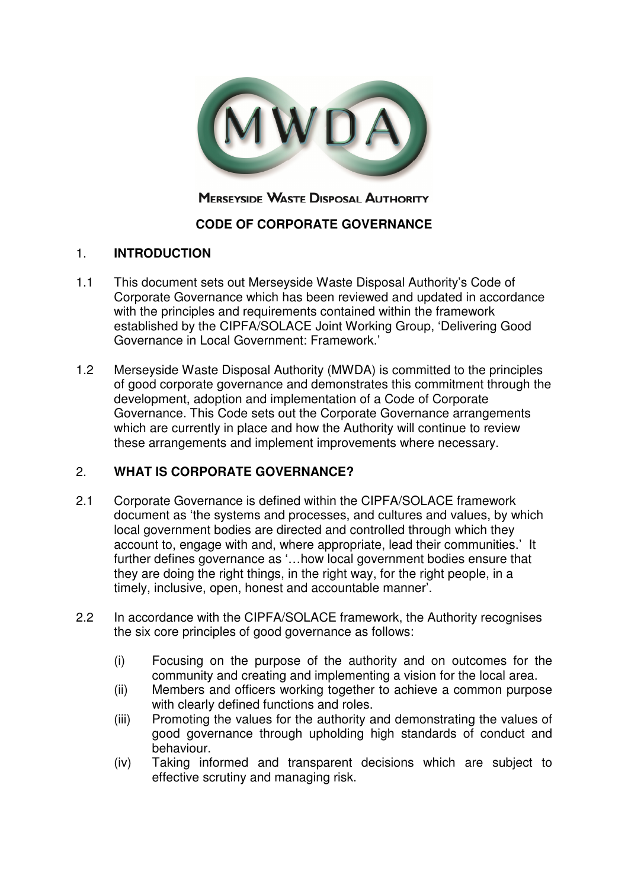

# **MERSEYSIDE WASTE DISPOSAL AUTHORITY**

# **CODE OF CORPORATE GOVERNANCE**

## 1. **INTRODUCTION**

- 1.1 This document sets out Merseyside Waste Disposal Authority's Code of Corporate Governance which has been reviewed and updated in accordance with the principles and requirements contained within the framework established by the CIPFA/SOLACE Joint Working Group, 'Delivering Good Governance in Local Government: Framework.'
- 1.2 Merseyside Waste Disposal Authority (MWDA) is committed to the principles of good corporate governance and demonstrates this commitment through the development, adoption and implementation of a Code of Corporate Governance. This Code sets out the Corporate Governance arrangements which are currently in place and how the Authority will continue to review these arrangements and implement improvements where necessary.

# 2. **WHAT IS CORPORATE GOVERNANCE?**

- 2.1 Corporate Governance is defined within the CIPFA/SOLACE framework document as 'the systems and processes, and cultures and values, by which local government bodies are directed and controlled through which they account to, engage with and, where appropriate, lead their communities.' It further defines governance as '…how local government bodies ensure that they are doing the right things, in the right way, for the right people, in a timely, inclusive, open, honest and accountable manner'.
- 2.2 In accordance with the CIPFA/SOLACE framework, the Authority recognises the six core principles of good governance as follows:
	- (i) Focusing on the purpose of the authority and on outcomes for the community and creating and implementing a vision for the local area.
	- (ii) Members and officers working together to achieve a common purpose with clearly defined functions and roles.
	- (iii) Promoting the values for the authority and demonstrating the values of good governance through upholding high standards of conduct and behaviour.
	- (iv) Taking informed and transparent decisions which are subject to effective scrutiny and managing risk.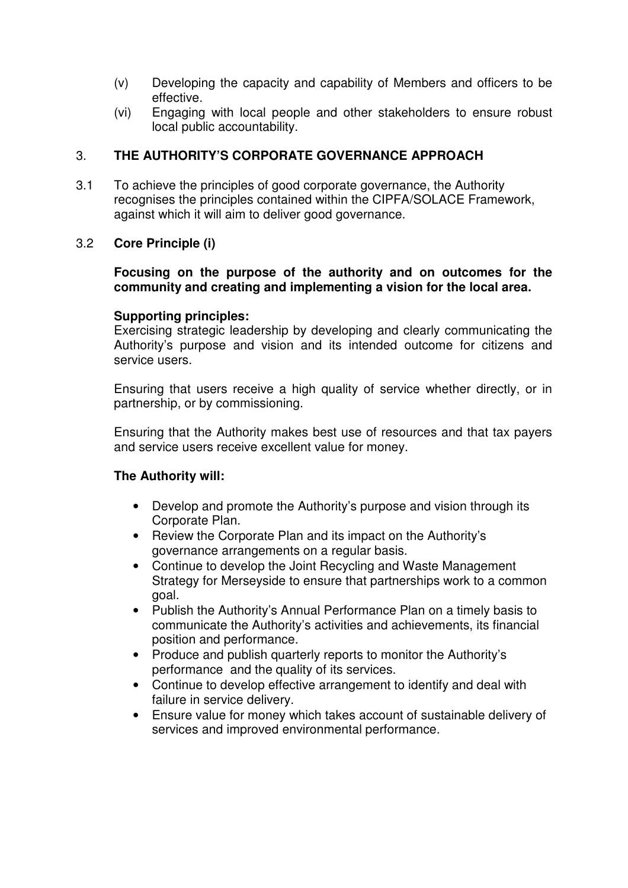- (v) Developing the capacity and capability of Members and officers to be effective.
- (vi) Engaging with local people and other stakeholders to ensure robust local public accountability.

## 3. **THE AUTHORITY'S CORPORATE GOVERNANCE APPROACH**

3.1 To achieve the principles of good corporate governance, the Authority recognises the principles contained within the CIPFA/SOLACE Framework, against which it will aim to deliver good governance.

## 3.2 **Core Principle (i)**

## **Focusing on the purpose of the authority and on outcomes for the community and creating and implementing a vision for the local area.**

## **Supporting principles:**

Exercising strategic leadership by developing and clearly communicating the Authority's purpose and vision and its intended outcome for citizens and service users.

Ensuring that users receive a high quality of service whether directly, or in partnership, or by commissioning.

Ensuring that the Authority makes best use of resources and that tax payers and service users receive excellent value for money.

- Develop and promote the Authority's purpose and vision through its Corporate Plan.
- Review the Corporate Plan and its impact on the Authority's governance arrangements on a regular basis.
- Continue to develop the Joint Recycling and Waste Management Strategy for Merseyside to ensure that partnerships work to a common goal.
- Publish the Authority's Annual Performance Plan on a timely basis to communicate the Authority's activities and achievements, its financial position and performance.
- Produce and publish quarterly reports to monitor the Authority's performance and the quality of its services.
- Continue to develop effective arrangement to identify and deal with failure in service delivery.
- Ensure value for money which takes account of sustainable delivery of services and improved environmental performance.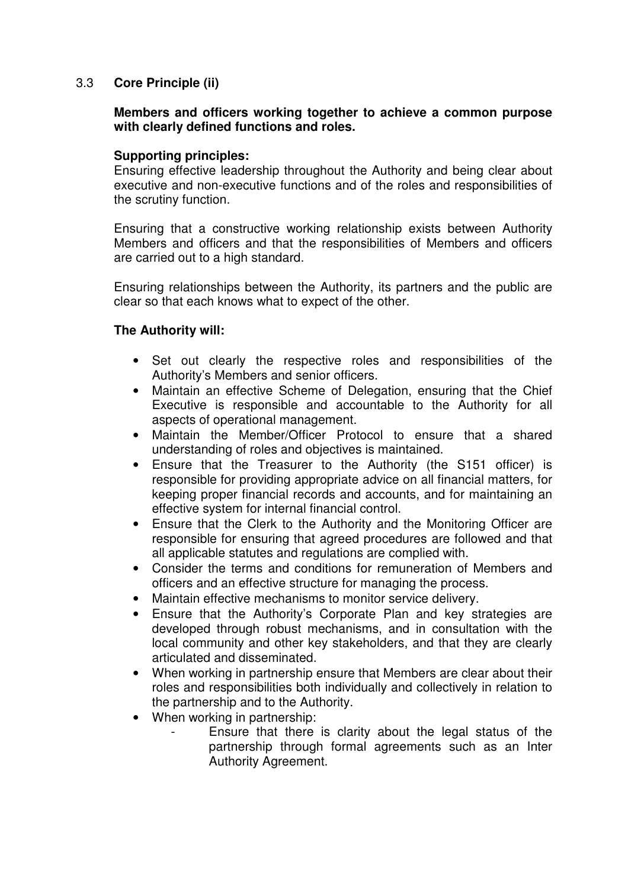## 3.3 **Core Principle (ii)**

#### **Members and officers working together to achieve a common purpose with clearly defined functions and roles.**

## **Supporting principles:**

Ensuring effective leadership throughout the Authority and being clear about executive and non-executive functions and of the roles and responsibilities of the scrutiny function.

Ensuring that a constructive working relationship exists between Authority Members and officers and that the responsibilities of Members and officers are carried out to a high standard.

Ensuring relationships between the Authority, its partners and the public are clear so that each knows what to expect of the other.

- Set out clearly the respective roles and responsibilities of the Authority's Members and senior officers.
- Maintain an effective Scheme of Delegation, ensuring that the Chief Executive is responsible and accountable to the Authority for all aspects of operational management.
- Maintain the Member/Officer Protocol to ensure that a shared understanding of roles and objectives is maintained.
- Ensure that the Treasurer to the Authority (the S151 officer) is responsible for providing appropriate advice on all financial matters, for keeping proper financial records and accounts, and for maintaining an effective system for internal financial control.
- Ensure that the Clerk to the Authority and the Monitoring Officer are responsible for ensuring that agreed procedures are followed and that all applicable statutes and regulations are complied with.
- Consider the terms and conditions for remuneration of Members and officers and an effective structure for managing the process.
- Maintain effective mechanisms to monitor service delivery.
- Ensure that the Authority's Corporate Plan and key strategies are developed through robust mechanisms, and in consultation with the local community and other key stakeholders, and that they are clearly articulated and disseminated.
- When working in partnership ensure that Members are clear about their roles and responsibilities both individually and collectively in relation to the partnership and to the Authority.
- When working in partnership:
	- Ensure that there is clarity about the legal status of the partnership through formal agreements such as an Inter Authority Agreement.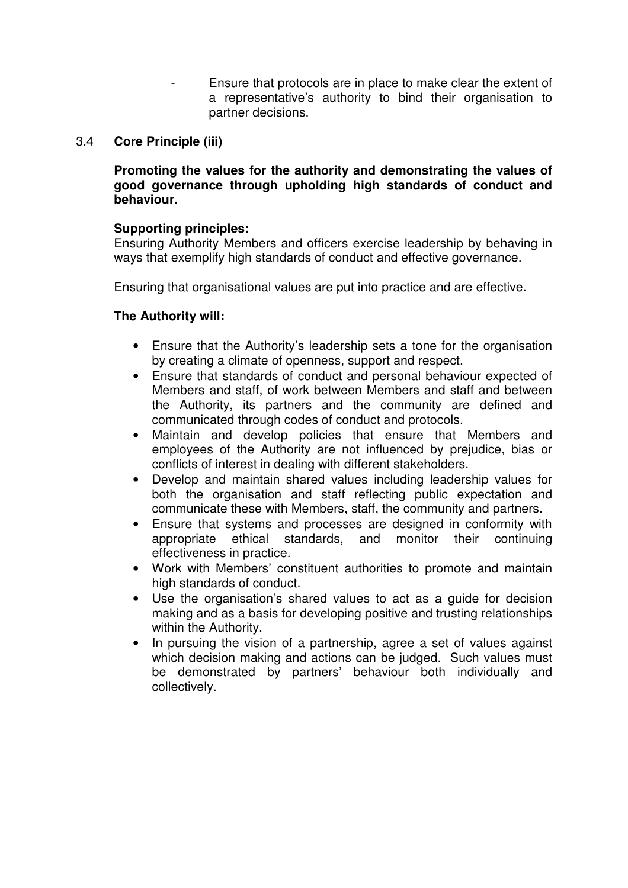Ensure that protocols are in place to make clear the extent of a representative's authority to bind their organisation to partner decisions.

## 3.4 **Core Principle (iii)**

**Promoting the values for the authority and demonstrating the values of good governance through upholding high standards of conduct and behaviour.** 

## **Supporting principles:**

Ensuring Authority Members and officers exercise leadership by behaving in ways that exemplify high standards of conduct and effective governance.

Ensuring that organisational values are put into practice and are effective.

- Ensure that the Authority's leadership sets a tone for the organisation by creating a climate of openness, support and respect.
- Ensure that standards of conduct and personal behaviour expected of Members and staff, of work between Members and staff and between the Authority, its partners and the community are defined and communicated through codes of conduct and protocols.
- Maintain and develop policies that ensure that Members and employees of the Authority are not influenced by prejudice, bias or conflicts of interest in dealing with different stakeholders.
- Develop and maintain shared values including leadership values for both the organisation and staff reflecting public expectation and communicate these with Members, staff, the community and partners.
- Ensure that systems and processes are designed in conformity with appropriate ethical standards, and monitor their continuing effectiveness in practice.
- Work with Members' constituent authorities to promote and maintain high standards of conduct.
- Use the organisation's shared values to act as a guide for decision making and as a basis for developing positive and trusting relationships within the Authority.
- In pursuing the vision of a partnership, agree a set of values against which decision making and actions can be judged. Such values must be demonstrated by partners' behaviour both individually and collectively.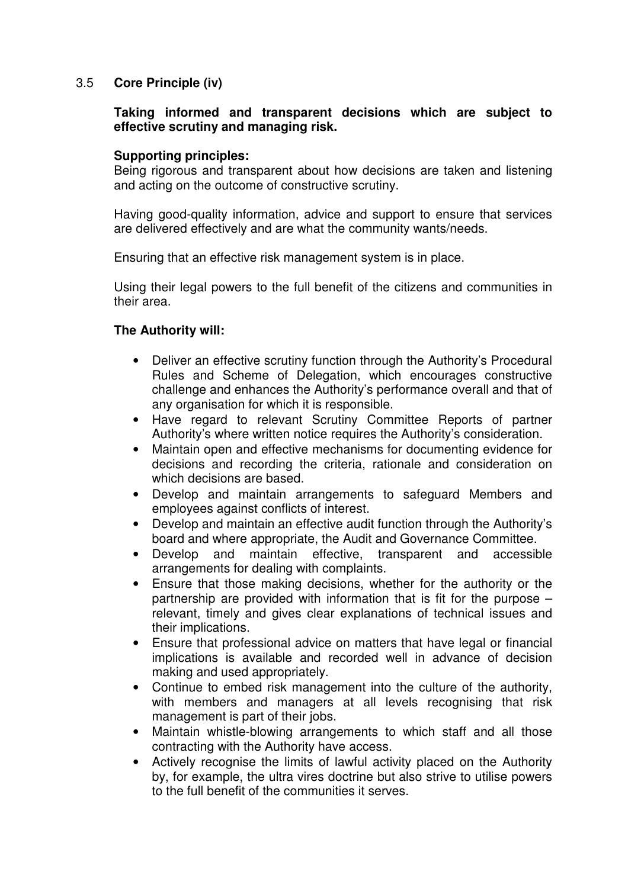## 3.5 **Core Principle (iv)**

## **Taking informed and transparent decisions which are subject to effective scrutiny and managing risk.**

## **Supporting principles:**

Being rigorous and transparent about how decisions are taken and listening and acting on the outcome of constructive scrutiny.

Having good-quality information, advice and support to ensure that services are delivered effectively and are what the community wants/needs.

Ensuring that an effective risk management system is in place.

Using their legal powers to the full benefit of the citizens and communities in their area.

- Deliver an effective scrutiny function through the Authority's Procedural Rules and Scheme of Delegation, which encourages constructive challenge and enhances the Authority's performance overall and that of any organisation for which it is responsible.
- Have regard to relevant Scrutiny Committee Reports of partner Authority's where written notice requires the Authority's consideration.
- Maintain open and effective mechanisms for documenting evidence for decisions and recording the criteria, rationale and consideration on which decisions are based.
- Develop and maintain arrangements to safeguard Members and employees against conflicts of interest.
- Develop and maintain an effective audit function through the Authority's board and where appropriate, the Audit and Governance Committee.
- Develop and maintain effective, transparent and accessible arrangements for dealing with complaints.
- Ensure that those making decisions, whether for the authority or the partnership are provided with information that is fit for the purpose – relevant, timely and gives clear explanations of technical issues and their implications.
- Ensure that professional advice on matters that have legal or financial implications is available and recorded well in advance of decision making and used appropriately.
- Continue to embed risk management into the culture of the authority, with members and managers at all levels recognising that risk management is part of their jobs.
- Maintain whistle-blowing arrangements to which staff and all those contracting with the Authority have access.
- Actively recognise the limits of lawful activity placed on the Authority by, for example, the ultra vires doctrine but also strive to utilise powers to the full benefit of the communities it serves.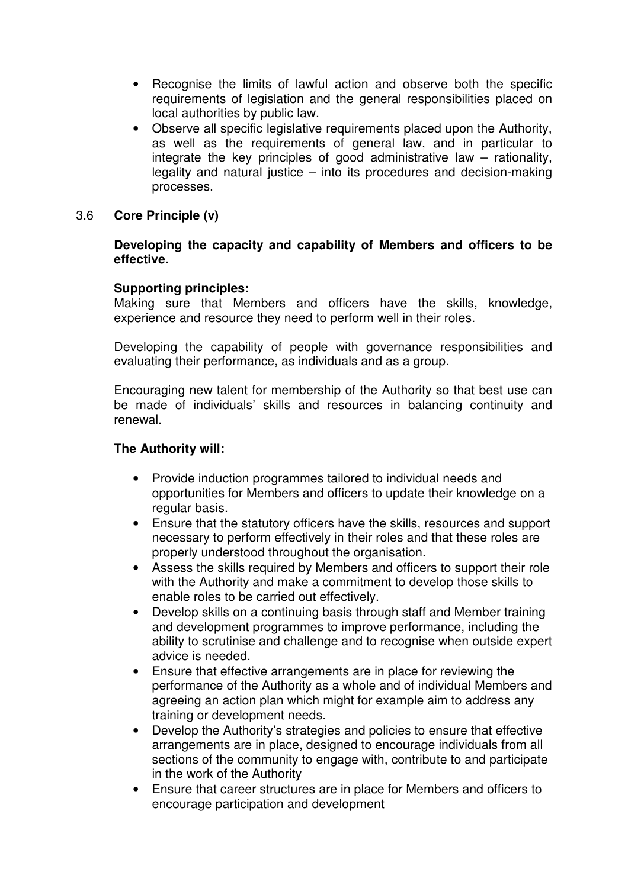- Recognise the limits of lawful action and observe both the specific requirements of legislation and the general responsibilities placed on local authorities by public law.
- Observe all specific legislative requirements placed upon the Authority, as well as the requirements of general law, and in particular to integrate the key principles of good administrative law – rationality, legality and natural justice – into its procedures and decision-making processes.
- 3.6 **Core Principle (v)**

## **Developing the capacity and capability of Members and officers to be effective.**

## **Supporting principles:**

Making sure that Members and officers have the skills, knowledge, experience and resource they need to perform well in their roles.

Developing the capability of people with governance responsibilities and evaluating their performance, as individuals and as a group.

Encouraging new talent for membership of the Authority so that best use can be made of individuals' skills and resources in balancing continuity and renewal.

- Provide induction programmes tailored to individual needs and opportunities for Members and officers to update their knowledge on a regular basis.
- Ensure that the statutory officers have the skills, resources and support necessary to perform effectively in their roles and that these roles are properly understood throughout the organisation.
- Assess the skills required by Members and officers to support their role with the Authority and make a commitment to develop those skills to enable roles to be carried out effectively.
- Develop skills on a continuing basis through staff and Member training and development programmes to improve performance, including the ability to scrutinise and challenge and to recognise when outside expert advice is needed.
- Ensure that effective arrangements are in place for reviewing the performance of the Authority as a whole and of individual Members and agreeing an action plan which might for example aim to address any training or development needs.
- Develop the Authority's strategies and policies to ensure that effective arrangements are in place, designed to encourage individuals from all sections of the community to engage with, contribute to and participate in the work of the Authority
- Ensure that career structures are in place for Members and officers to encourage participation and development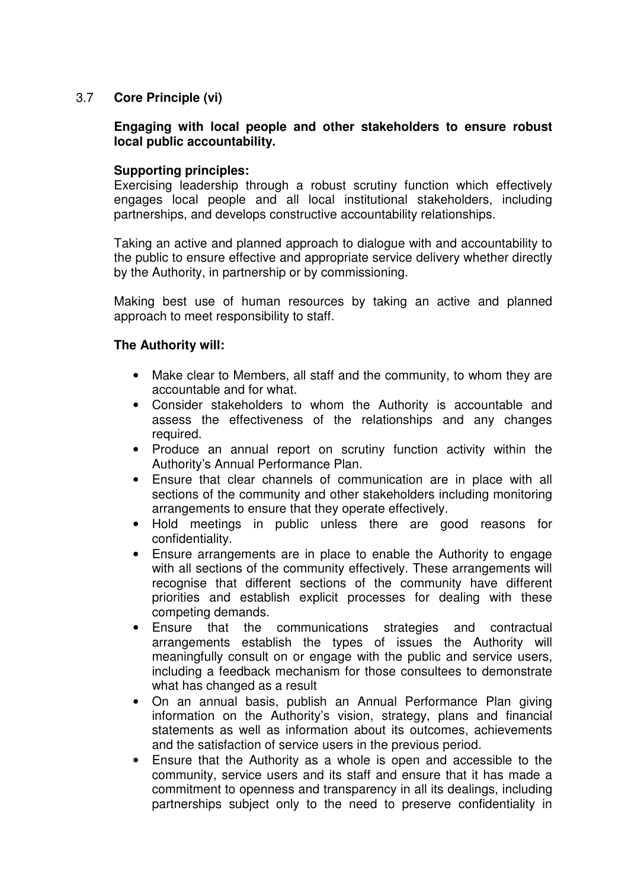## 3.7 **Core Principle (vi)**

## **Engaging with local people and other stakeholders to ensure robust local public accountability.**

## **Supporting principles:**

Exercising leadership through a robust scrutiny function which effectively engages local people and all local institutional stakeholders, including partnerships, and develops constructive accountability relationships.

Taking an active and planned approach to dialogue with and accountability to the public to ensure effective and appropriate service delivery whether directly by the Authority, in partnership or by commissioning.

Making best use of human resources by taking an active and planned approach to meet responsibility to staff.

- Make clear to Members, all staff and the community, to whom they are accountable and for what.
- Consider stakeholders to whom the Authority is accountable and assess the effectiveness of the relationships and any changes required.
- Produce an annual report on scrutiny function activity within the Authority's Annual Performance Plan.
- Ensure that clear channels of communication are in place with all sections of the community and other stakeholders including monitoring arrangements to ensure that they operate effectively.
- Hold meetings in public unless there are good reasons for confidentiality.
- Ensure arrangements are in place to enable the Authority to engage with all sections of the community effectively. These arrangements will recognise that different sections of the community have different priorities and establish explicit processes for dealing with these competing demands.
- Ensure that the communications strategies and contractual arrangements establish the types of issues the Authority will meaningfully consult on or engage with the public and service users, including a feedback mechanism for those consultees to demonstrate what has changed as a result
- On an annual basis, publish an Annual Performance Plan giving information on the Authority's vision, strategy, plans and financial statements as well as information about its outcomes, achievements and the satisfaction of service users in the previous period.
- Ensure that the Authority as a whole is open and accessible to the community, service users and its staff and ensure that it has made a commitment to openness and transparency in all its dealings, including partnerships subject only to the need to preserve confidentiality in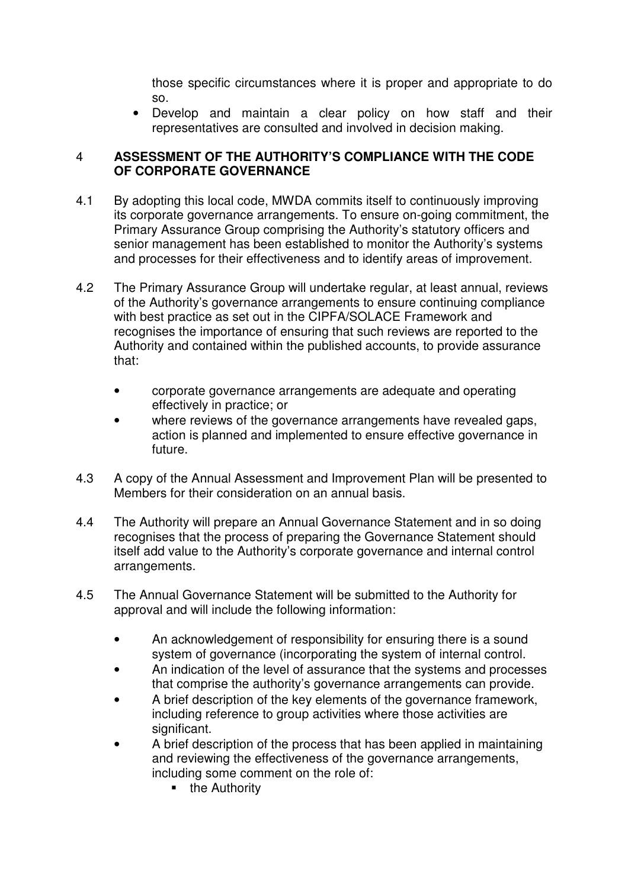those specific circumstances where it is proper and appropriate to do so.

• Develop and maintain a clear policy on how staff and their representatives are consulted and involved in decision making.

## 4 **ASSESSMENT OF THE AUTHORITY'S COMPLIANCE WITH THE CODE OF CORPORATE GOVERNANCE**

- 4.1 By adopting this local code, MWDA commits itself to continuously improving its corporate governance arrangements. To ensure on-going commitment, the Primary Assurance Group comprising the Authority's statutory officers and senior management has been established to monitor the Authority's systems and processes for their effectiveness and to identify areas of improvement.
- 4.2 The Primary Assurance Group will undertake regular, at least annual, reviews of the Authority's governance arrangements to ensure continuing compliance with best practice as set out in the CIPFA/SOLACE Framework and recognises the importance of ensuring that such reviews are reported to the Authority and contained within the published accounts, to provide assurance that:
	- corporate governance arrangements are adequate and operating effectively in practice; or
	- where reviews of the governance arrangements have revealed gaps, action is planned and implemented to ensure effective governance in future.
- 4.3 A copy of the Annual Assessment and Improvement Plan will be presented to Members for their consideration on an annual basis.
- 4.4 The Authority will prepare an Annual Governance Statement and in so doing recognises that the process of preparing the Governance Statement should itself add value to the Authority's corporate governance and internal control arrangements.
- 4.5 The Annual Governance Statement will be submitted to the Authority for approval and will include the following information:
	- An acknowledgement of responsibility for ensuring there is a sound system of governance (incorporating the system of internal control.
	- An indication of the level of assurance that the systems and processes that comprise the authority's governance arrangements can provide.
	- A brief description of the key elements of the governance framework, including reference to group activities where those activities are significant.
	- A brief description of the process that has been applied in maintaining and reviewing the effectiveness of the governance arrangements, including some comment on the role of:
		- $\blacksquare$  the Authority